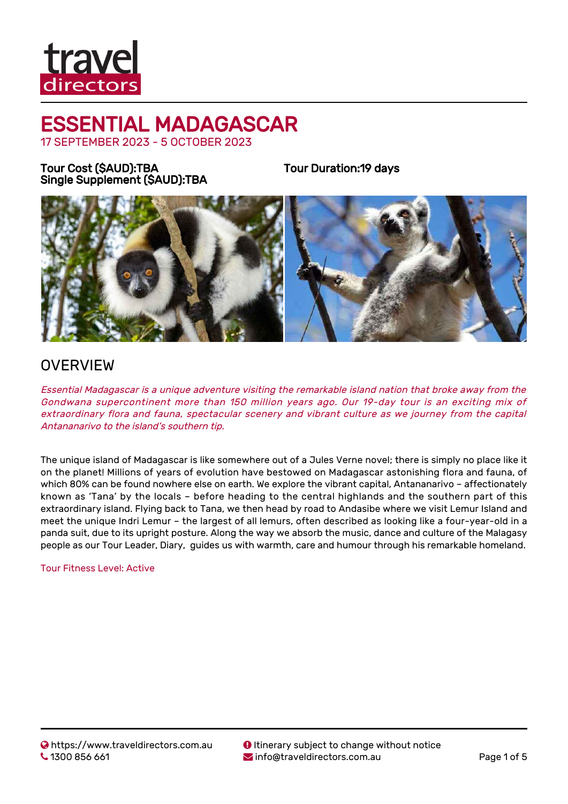

17 SEPTEMBER 2023 - 5 OCTOBER 2023

Tour Cost (\$AUD):TBA Single Supplement (\$AUD):TBA Tour Duration:19 days



### **OVERVIEW**

Essential Madagascar is a unique adventure visiting the remarkable island nation that broke away from the Gondwana supercontinent more than 150 million years ago. Our 19-day tour is an exciting mix of extraordinary flora and fauna, spectacular scenery and vibrant culture as we journey from the capital Antananarivo to the island's southern tip.

The unique island of Madagascar is like somewhere out of a Jules Verne novel; there is simply no place like it on the planet! Millions of years of evolution have bestowed on Madagascar astonishing flora and fauna, of which 80% can be found nowhere else on earth. We explore the vibrant capital, Antananarivo – affectionately known as 'Tana' by the locals – before heading to the central highlands and the southern part of this extraordinary island. Flying back to Tana, we then head by road to Andasibe where we visit Lemur Island and meet the unique Indri Lemur – the largest of all lemurs, often described as looking like a four-year-old in a panda suit, due to its upright posture. Along the way we absorb the music, dance and culture of the Malagasy people as our Tour Leader, Diary, guides us with warmth, care and humour through his remarkable homeland.

#### Tour Fitness Level: Active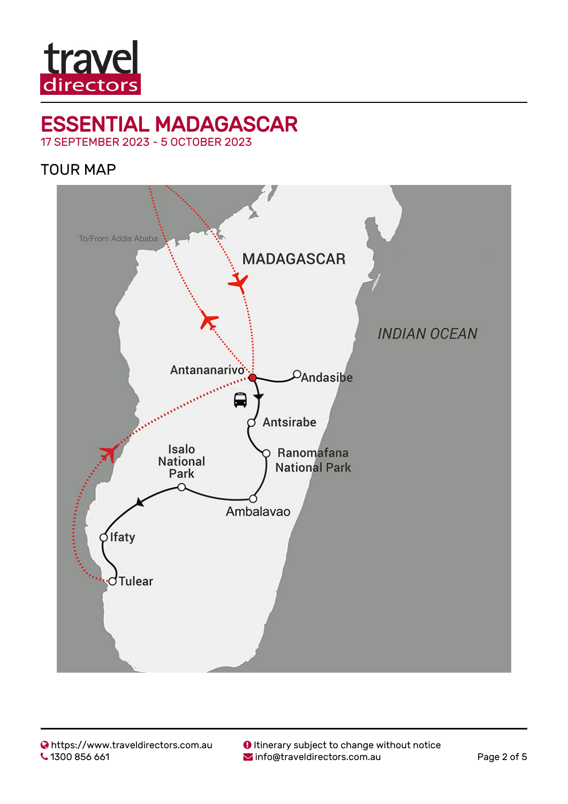

17 SEPTEMBER 2023 - 5 OCTOBER 2023

TOUR MAP

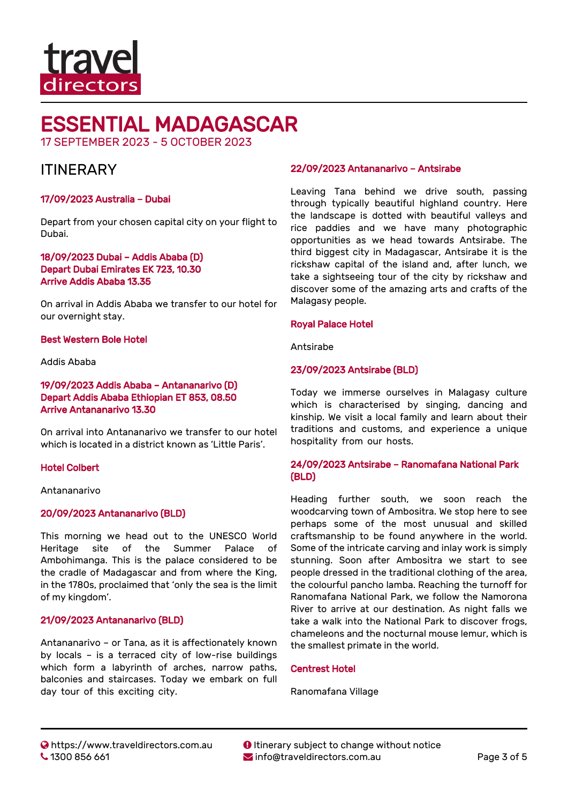

17 SEPTEMBER 2023 - 5 OCTOBER 2023

### **ITINFRARY**

#### 17/09/2023 Australia – Dubai

Depart from your chosen capital city on your flight to Dubai.

#### 18/09/2023 Dubai – Addis Ababa (D) Depart Dubai Emirates EK 723, 10.30 Arrive Addis Ababa 13.35

On arrival in Addis Ababa we transfer to our hotel for our overnight stay.

#### Best Western Bole Hotel

#### Addis Ababa

#### 19/09/2023 Addis Ababa – Antananarivo (D) Depart Addis Ababa Ethiopian ET 853, 08.50 Arrive Antananarivo 13.30

On arrival into Antananarivo we transfer to our hotel which is located in a district known as 'Little Paris'.

#### Hotel Colbert

Antananarivo

#### 20/09/2023 Antananarivo (BLD)

This morning we head out to the UNESCO World Heritage site of the Summer Palace of Ambohimanga. This is the palace considered to be the cradle of Madagascar and from where the King, in the 1780s, proclaimed that 'only the sea is the limit of my kingdom'.

#### 21/09/2023 Antananarivo (BLD)

Antananarivo – or Tana, as it is affectionately known by locals – is a terraced city of low-rise buildings which form a labyrinth of arches, narrow paths, balconies and staircases. Today we embark on full day tour of this exciting city.

#### 22/09/2023 Antananarivo – Antsirabe

Leaving Tana behind we drive south, passing through typically beautiful highland country. Here the landscape is dotted with beautiful valleys and rice paddies and we have many photographic opportunities as we head towards Antsirabe. The third biggest city in Madagascar, Antsirabe it is the rickshaw capital of the island and, after lunch, we take a sightseeing tour of the city by rickshaw and discover some of the amazing arts and crafts of the Malagasy people.

#### Royal Palace Hotel

Antsirabe

#### 23/09/2023 Antsirabe (BLD)

Today we immerse ourselves in Malagasy culture which is characterised by singing, dancing and kinship. We visit a local family and learn about their traditions and customs, and experience a unique hospitality from our hosts.

#### 24/09/2023 Antsirabe – Ranomafana National Park (BLD)

Heading further south, we soon reach the woodcarving town of Ambositra. We stop here to see perhaps some of the most unusual and skilled craftsmanship to be found anywhere in the world. Some of the intricate carving and inlay work is simply stunning. Soon after Ambositra we start to see people dressed in the traditional clothing of the area, the colourful pancho lamba. Reaching the turnoff for Ranomafana National Park, we follow the Namorona River to arrive at our destination. As night falls we take a walk into the National Park to discover frogs, chameleons and the nocturnal mouse lemur, which is the smallest primate in the world.

#### Centrest Hotel

Ranomafana Village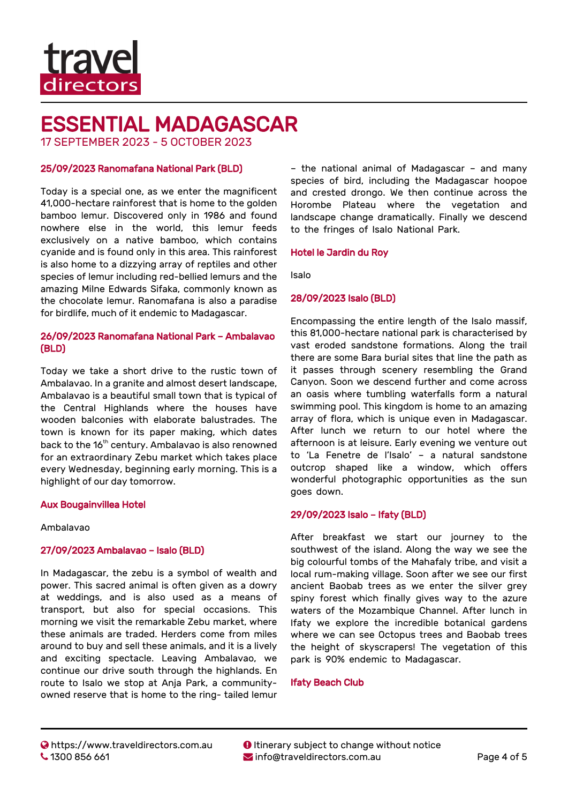

17 SEPTEMBER 2023 - 5 OCTOBER 2023

#### 25/09/2023 Ranomafana National Park (BLD)

Today is a special one, as we enter the magnificent 41,000-hectare rainforest that is home to the golden bamboo lemur. Discovered only in 1986 and found nowhere else in the world, this lemur feeds exclusively on a native bamboo, which contains cyanide and is found only in this area. This rainforest is also home to a dizzying array of reptiles and other species of lemur including red-bellied lemurs and the amazing Milne Edwards Sifaka, commonly known as the chocolate lemur. Ranomafana is also a paradise for birdlife, much of it endemic to Madagascar.

#### 26/09/2023 Ranomafana National Park – Ambalavao (BLD)

Today we take a short drive to the rustic town of Ambalavao. In a granite and almost desert landscape, Ambalavao is a beautiful small town that is typical of the Central Highlands where the houses have wooden balconies with elaborate balustrades. The town is known for its paper making, which dates back to the 16<sup>th</sup> century. Ambalavao is also renowned for an extraordinary Zebu market which takes place every Wednesday, beginning early morning. This is a highlight of our day tomorrow.

#### Aux Bougainvillea Hotel

#### Ambalavao

#### 27/09/2023 Ambalavao – Isalo (BLD)

In Madagascar, the zebu is a symbol of wealth and power. This sacred animal is often given as a dowry at weddings, and is also used as a means of transport, but also for special occasions. This morning we visit the remarkable Zebu market, where these animals are traded. Herders come from miles around to buy and sell these animals, and it is a lively and exciting spectacle. Leaving Ambalavao, we continue our drive south through the highlands. En route to Isalo we stop at Anja Park, a communityowned reserve that is home to the ring- tailed lemur

– the national animal of Madagascar – and many species of bird, including the Madagascar hoopoe and crested drongo. We then continue across the Horombe Plateau where the vegetation and landscape change dramatically. Finally we descend to the fringes of Isalo National Park.

#### Hotel le Jardin du Roy

Isalo

#### 28/09/2023 Isalo (BLD)

Encompassing the entire length of the Isalo massif, this 81,000-hectare national park is characterised by vast eroded sandstone formations. Along the trail there are some Bara burial sites that line the path as it passes through scenery resembling the Grand Canyon. Soon we descend further and come across an oasis where tumbling waterfalls form a natural swimming pool. This kingdom is home to an amazing array of flora, which is unique even in Madagascar. After lunch we return to our hotel where the afternoon is at leisure. Early evening we venture out to 'La Fenetre de l'Isalo' – a natural sandstone outcrop shaped like a window, which offers wonderful photographic opportunities as the sun goes down.

#### 29/09/2023 Isalo – Ifaty (BLD)

After breakfast we start our journey to the southwest of the island. Along the way we see the big colourful tombs of the Mahafaly tribe, and visit a local rum-making village. Soon after we see our first ancient Baobab trees as we enter the silver grey spiny forest which finally gives way to the azure waters of the Mozambique Channel. After lunch in Ifaty we explore the incredible botanical gardens where we can see Octopus trees and Baobab trees the height of skyscrapers! The vegetation of this park is 90% endemic to Madagascar.

#### Ifaty Beach Club